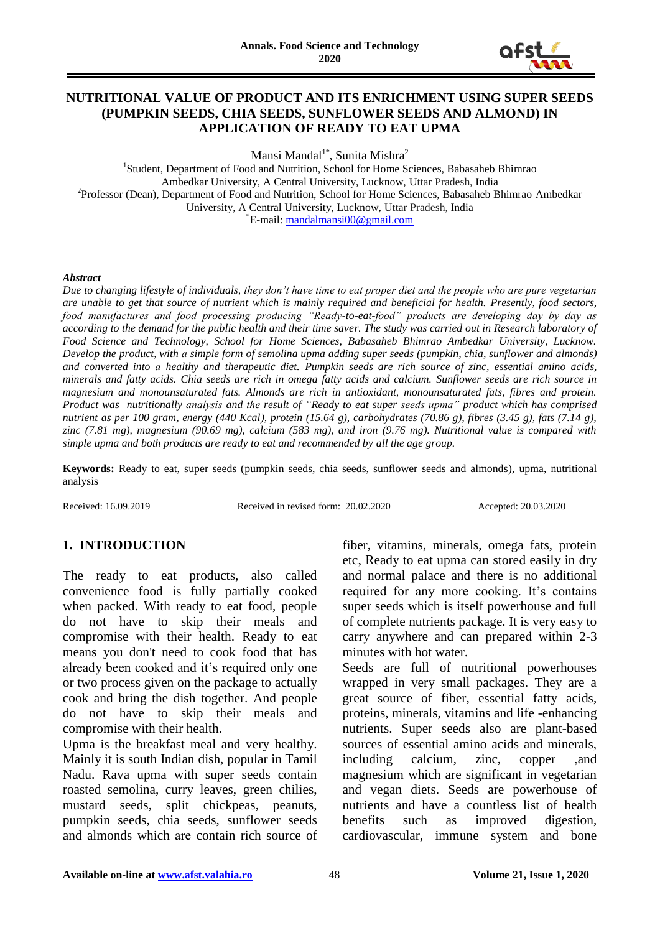

## **NUTRITIONAL VALUE OF PRODUCT AND ITS ENRICHMENT USING SUPER SEEDS (PUMPKIN SEEDS, CHIA SEEDS, SUNFLOWER SEEDS AND ALMOND) IN APPLICATION OF READY TO EAT UPMA**

Mansi Mandal<sup>1\*</sup>, Sunita Mishra<sup>2</sup>

<sup>1</sup>Student, Department of Food and Nutrition, School for Home Sciences, Babasaheb Bhimrao Ambedkar University, A Central University, Lucknow, Uttar Pradesh, India <sup>2</sup>Professor (Dean), Department of Food and Nutrition, School for Home Sciences, Babasaheb Bhimrao Ambedkar University, A Central University, Lucknow, Uttar Pradesh, India \*E-mail: [mandalmansi00@gmail.com](mailto:mandalmansi00@gmail.com)

#### *Abstract*

*Due to changing lifestyle of individuals, they don't have time to eat proper diet and the people who are pure vegetarian are unable to get that source of nutrient which is mainly required and beneficial for health. Presently, food sectors, food manufactures and food processing producing "Ready-to-eat-food" products are developing day by day as according to the demand for the public health and their time saver. The study was carried out in Research laboratory of Food Science and Technology, School for Home Sciences, Babasaheb Bhimrao Ambedkar University, Lucknow. Develop the product, with a simple form of semolina upma adding super seeds (pumpkin, chia, sunflower and almonds) and converted into a healthy and therapeutic diet. Pumpkin seeds are rich source of zinc, essential amino acids, minerals and fatty acids. Chia seeds are rich in omega fatty acids and calcium. Sunflower seeds are rich source in magnesium and monounsaturated fats. Almonds are rich in antioxidant, monounsaturated fats, fibres and protein. Product was nutritionally analysis and the result of "Ready to eat super seeds upma" product which has comprised nutrient as per 100 gram, energy (440 Kcal), protein (15.64 g), carbohydrates (70.86 g), fibres (3.45 g), fats (7.14 g), zinc (7.81 mg), magnesium (90.69 mg), calcium (583 mg), and iron (9.76 mg). Nutritional value is compared with simple upma and both products are ready to eat and recommended by all the age group.*

**Keywords:** Ready to eat, super seeds (pumpkin seeds, chia seeds, sunflower seeds and almonds), upma, nutritional analysis

Received: 16.09.2019 Received in revised form: 20.02.2020 Accepted: 20.03.2020

# **1. INTRODUCTION**

The ready to eat products, also called convenience food is fully partially cooked when packed. With ready to eat food, people do not have to skip their meals and compromise with their health. Ready to eat means you don't need to cook food that has already been cooked and it's required only one or two process given on the package to actually cook and bring the dish together. And people do not have to skip their meals and compromise with their health.

Upma is the breakfast meal and very healthy. Mainly it is south Indian dish, popular in Tamil Nadu. Rava upma with super seeds contain roasted semolina, curry leaves, green chilies, mustard seeds, split chickpeas, peanuts, pumpkin seeds, chia seeds, sunflower seeds and almonds which are contain rich source of fiber, vitamins, minerals, omega fats, protein etc, Ready to eat upma can stored easily in dry and normal palace and there is no additional required for any more cooking. It's contains super seeds which is itself powerhouse and full of complete nutrients package. It is very easy to carry anywhere and can prepared within 2-3 minutes with hot water.

Seeds are full of nutritional powerhouses wrapped in very small packages. They are a great source of fiber, essential fatty acids, proteins, minerals, vitamins and life -enhancing nutrients. Super seeds also are plant-based sources of essential amino acids and minerals, including calcium, zinc, copper and magnesium which are significant in vegetarian and vegan diets. Seeds are powerhouse of nutrients and have a countless list of health benefits such as improved digestion, cardiovascular, immune system and bone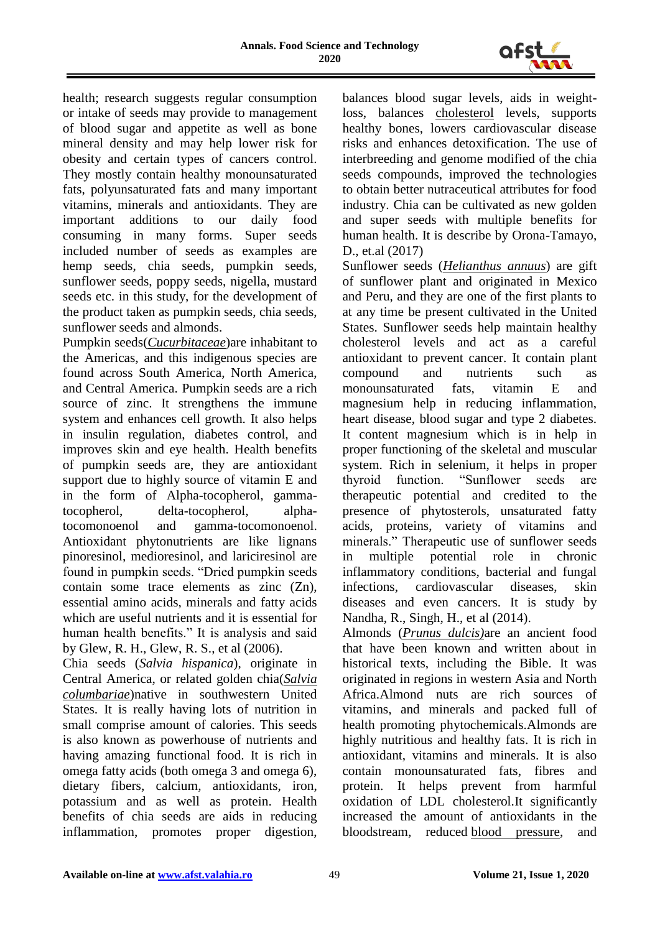

health; research suggests regular consumption or intake of seeds may provide to management of blood sugar and appetite as well as bone mineral density and may help lower risk for obesity and certain types of cancers control. They mostly contain healthy monounsaturated fats, polyunsaturated fats and many important vitamins, minerals and antioxidants. They are important additions to our daily food consuming in many forms. Super seeds included number of seeds as examples are hemp seeds, chia seeds, pumpkin seeds, sunflower seeds, poppy seeds, nigella, mustard seeds etc. in this study, for the development of the product taken as pumpkin seeds, chia seeds, sunflower seeds and almonds.

Pumpkin seeds(*Cucurbitaceae*)are inhabitant to the Americas, and this indigenous species are found across South America, North America, and Central America. Pumpkin seeds are a rich source of zinc. It strengthens the immune system and enhances cell growth. It also helps in insulin regulation, diabetes control, and improves skin and eye health. Health benefits of pumpkin seeds are, they are antioxidant support due to highly source of vitamin E and in the form of Alpha-tocopherol, gammatocopherol, delta-tocopherol, alphatocomonoenol and gamma-tocomonoenol. Antioxidant phytonutrients are like lignans pinoresinol, medioresinol, and lariciresinol are found in pumpkin seeds. "Dried pumpkin seeds contain some trace elements as zinc (Zn), essential amino acids, minerals and fatty acids which are useful nutrients and it is essential for human health benefits." It is analysis and said by Glew, R. H., Glew, R. S., et al (2006).

Chia seeds (*Salvia hispanica*), originate in Central America, or related golden chia(*[Salvia](https://en.wikipedia.org/wiki/Salvia_columbariae)  [columbariae](https://en.wikipedia.org/wiki/Salvia_columbariae)*)native in southwestern United States. It is really having lots of nutrition in small comprise amount of calories. This seeds is also known as powerhouse of nutrients and having amazing functional food. It is rich in omega fatty acids (both omega 3 and omega 6), dietary fibers, calcium, antioxidants, iron, potassium and as well as protein. Health benefits of chia seeds are aids in reducing inflammation, promotes proper digestion,

balances blood sugar levels, aids in weightloss, balances [cholesterol](https://holistickenko.com/cholesterol-roles-and-reasons-for-elevation/) levels, supports healthy bones, lowers cardiovascular disease risks and enhances detoxification. The use of interbreeding and genome modified of the chia seeds compounds, improved the technologies to obtain better nutraceutical attributes for food industry. Chia can be cultivated as new golden and super seeds with multiple benefits for human health. It is describe by Orona-Tamayo, D., et.al (2017)

Sunflower seeds (*[Helianthus annuus](https://en.wikipedia.org/wiki/Helianthus_annuus)*) are gift of sunflower plant and originated in Mexico and Peru, and they are one of the first plants to at any time be present cultivated in the United States. Sunflower seeds help maintain healthy cholesterol levels and act as a careful antioxidant to prevent cancer. It contain plant compound and nutrients such as monounsaturated fats, vitamin E and magnesium help in reducing inflammation, heart disease, blood sugar and type 2 diabetes. It content magnesium which is in help in proper functioning of the skeletal and muscular system. Rich in selenium, it helps in proper thyroid function. "Sunflower seeds are therapeutic potential and credited to the presence of phytosterols, unsaturated fatty acids, proteins, variety of vitamins and minerals." Therapeutic use of sunflower seeds in multiple potential role in chronic inflammatory conditions, bacterial and fungal infections, cardiovascular diseases, skin diseases and even cancers. It is study by Nandha, R., Singh, H., et al (2014).

Almonds (*Prunus dulcis)*are an ancient food that have been known and written about in historical texts, including the Bible. It was originated in regions in western Asia and North Africa.Almond nuts are rich sources of vitamins, and minerals and packed full of health promoting phytochemicals.Almonds are highly nutritious and healthy fats. It is rich in antioxidant, vitamins and minerals. It is also contain monounsaturated fats, fibres and protein. It helps prevent from harmful oxidation of LDL cholesterol.It significantly increased the amount of antioxidants in the bloodstream, reduced [blood pressure,](https://www.medicalnewstoday.com/articles/270644.php) and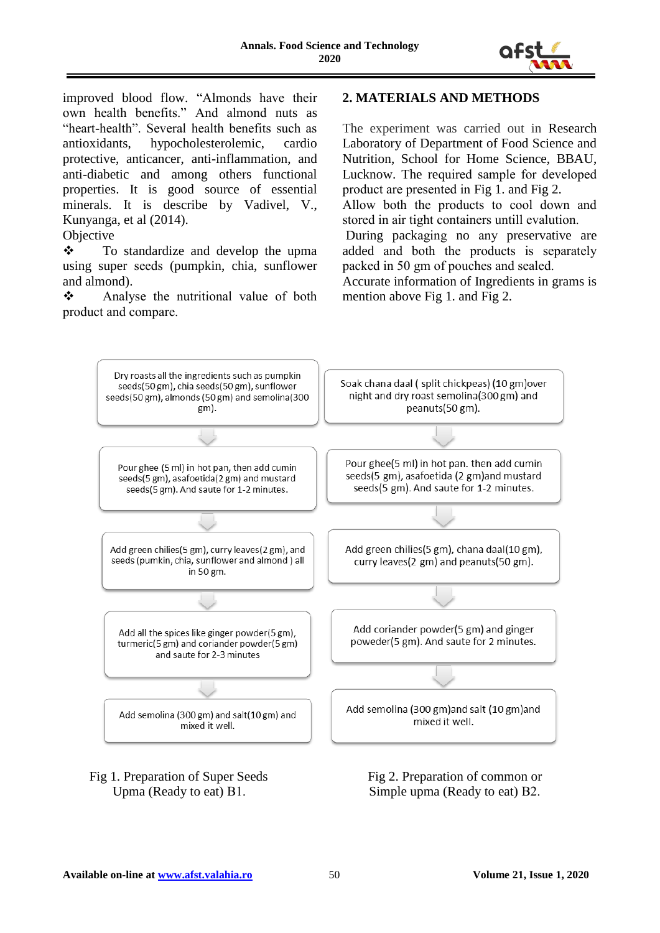

improved blood flow. "Almonds have their own health benefits." And almond nuts as "heart-health". Several health benefits such as antioxidants, hypocholesterolemic, cardio protective, anticancer, anti-inflammation, and anti-diabetic and among others functional properties. It is good source of essential minerals. It is describe by Vadivel, V., Kunyanga, et al (2014).

#### **Objective**

 $\mathbf{\hat{P}}$  To standardize and develop the upma using super seeds (pumpkin, chia, sunflower and almond).

**❖** Analyse the nutritional value of both product and compare.

## **2. MATERIALS AND METHODS**

The experiment was carried out in Research Laboratory of Department of Food Science and Nutrition, School for Home Science, BBAU, Lucknow. The required sample for developed product are presented in Fig 1. and Fig 2.

Allow both the products to cool down and stored in air tight containers untill evalution.

During packaging no any preservative are added and both the products is separately packed in 50 gm of pouches and sealed.

Accurate information of Ingredients in grams is mention above Fig 1. and Fig 2.



Fig 1. Preparation of Super Seeds Fig 2. Preparation of common or

Upma (Ready to eat) B1. Simple upma (Ready to eat) B2.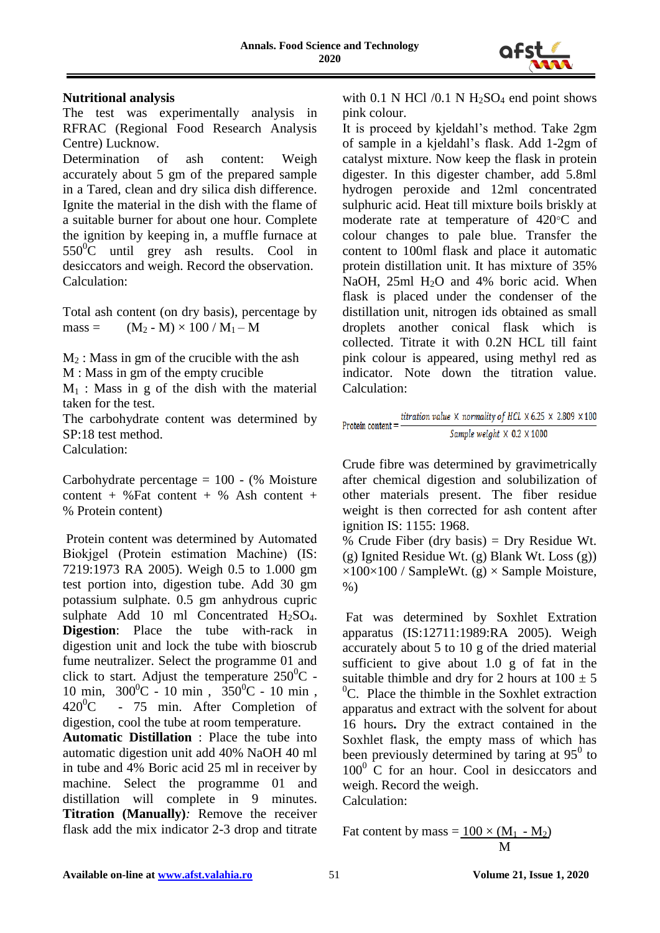

## **Nutritional analysis**

The test was experimentally analysis in RFRAC (Regional Food Research Analysis Centre) Lucknow.

Determination of ash content: Weigh accurately about 5 gm of the prepared sample in a Tared, clean and dry silica dish difference. Ignite the material in the dish with the flame of a suitable burner for about one hour. Complete the ignition by keeping in, a muffle furnace at  $550^{\circ}$ C until grey ash results. Cool in desiccators and weigh. Record the observation. Calculation:

Total ash content (on dry basis), percentage by  $mass = (M_2 - M) \times 100 / M_1 - M$ 

 $M<sub>2</sub>$ : Mass in gm of the crucible with the ash

M : Mass in gm of the empty crucible

 $M_1$ : Mass in g of the dish with the material taken for the test.

The carbohydrate content was determined by SP:18 test method. Calculation:

Carbohydrate percentage  $= 100 - (\% \text{ Moisture})$ content + %Fat content + % Ash content + % Protein content)

Protein content was determined by Automated Biokjgel (Protein estimation Machine) (IS: 7219:1973 RA 2005). Weigh 0.5 to 1.000 gm test portion into, digestion tube. Add 30 gm potassium sulphate. 0.5 gm anhydrous cupric sulphate Add 10 ml Concentrated  $H_2SO_4$ . **Digestion**: Place the tube with-rack in digestion unit and lock the tube with bioscrub fume neutralizer. Select the programme 01 and click to start. Adjust the temperature  $250^{\circ}$ C -10 min,  $300^0C - 10$  min,  $350^0C - 10$  min,  $420^0$ C - 75 min. After Completion of digestion, cool the tube at room temperature.

**Automatic Distillation** : Place the tube into automatic digestion unit add 40% NaOH 40 ml in tube and 4% Boric acid 25 ml in receiver by machine. Select the programme 01 and distillation will complete in 9 minutes. **Titration (Manually)***:* Remove the receiver flask add the mix indicator 2-3 drop and titrate

with 0.1 N HCl  $/0.1$  N H<sub>2</sub>SO<sub>4</sub> end point shows pink colour.

It is proceed by kjeldahl's method. Take 2gm of sample in a kjeldahl's flask. Add 1-2gm of catalyst mixture. Now keep the flask in protein digester. In this digester chamber, add 5.8ml hydrogen peroxide and 12ml concentrated sulphuric acid. Heat till mixture boils briskly at moderate rate at temperature of  $420^{\circ}$ C and colour changes to pale blue. Transfer the content to 100ml flask and place it automatic protein distillation unit. It has mixture of 35% NaOH,  $25ml$  H<sub>2</sub>O and  $4%$  boric acid. When flask is placed under the condenser of the distillation unit, nitrogen ids obtained as small droplets another conical flask which is collected. Titrate it with 0.2N HCL till faint pink colour is appeared, using methyl red as indicator. Note down the titration value. Calculation:

$$
Protein content = \frac{titration\ value \times \ normality\ of\ HCL \times 6.25 \times 2.809 \times 100}{Sample\ weight \times 0.2 \times 1000}
$$

Crude fibre was determined by gravimetrically after chemical digestion and solubilization of other materials present. The fiber residue weight is then corrected for ash content after ignition IS: 1155: 1968.

% Crude Fiber (dry basis) = Dry Residue Wt. (g) Ignited Residue Wt. (g) Blank Wt. Loss (g))  $\times100\times100$  / SampleWt. (g)  $\times$  Sample Moisture, %)

Fat was determined by Soxhlet Extration apparatus (IS:12711:1989:RA 2005). Weigh accurately about 5 to 10 g of the dried material sufficient to give about 1.0 g of fat in the suitable thimble and dry for 2 hours at  $100 \pm 5$  ${}^{0}C$ . Place the thimble in the Soxhlet extraction apparatus and extract with the solvent for about 16 hours**.** Dry the extract contained in the Soxhlet flask, the empty mass of which has been previously determined by taring at  $95^{\circ}$  to  $100<sup>0</sup>$  C for an hour. Cool in desiccators and weigh. Record the weigh. Calculation:

$$
ext{Pat content by mass} = \frac{100 \times (M_1 - M_2)}{M}
$$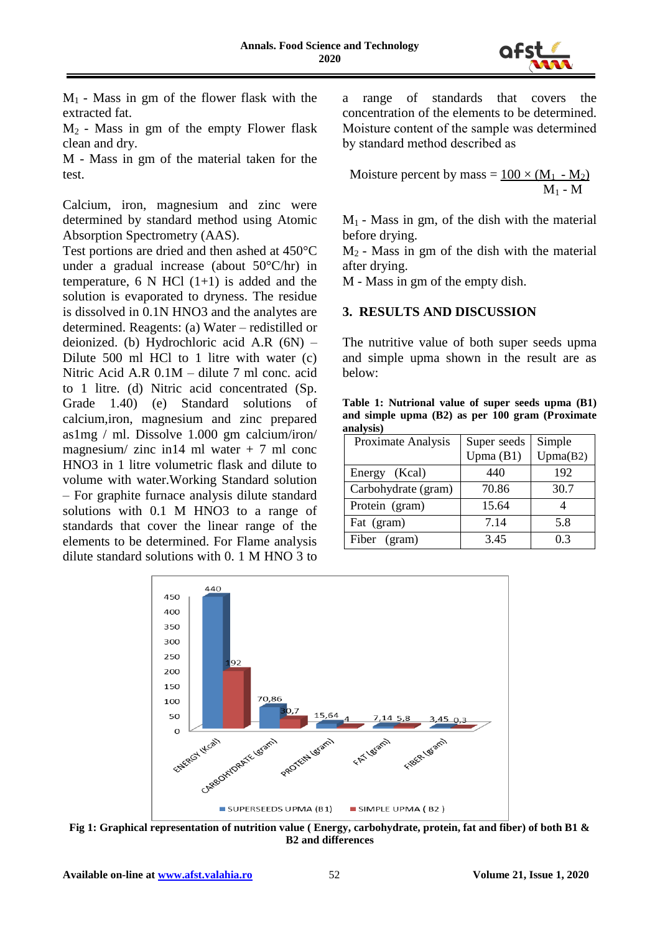

 $M_1$  - Mass in gm of the flower flask with the extracted fat.

 $M<sub>2</sub>$  - Mass in gm of the empty Flower flask clean and dry.

M - Mass in gm of the material taken for the test.

Calcium, iron, magnesium and zinc were determined by standard method using Atomic Absorption Spectrometry (AAS).

Test portions are dried and then ashed at 450°C under a gradual increase (about 50°C/hr) in temperature, 6 N HCl  $(1+1)$  is added and the solution is evaporated to dryness. The residue is dissolved in 0.1N HNO3 and the analytes are determined. Reagents: (a) Water – redistilled or deionized. (b) Hydrochloric acid A.R (6N) – Dilute 500 ml HCl to 1 litre with water (c) Nitric Acid A.R 0.1M – dilute 7 ml conc. acid to 1 litre. (d) Nitric acid concentrated (Sp. Grade 1.40) (e) Standard solutions of calcium,iron, magnesium and zinc prepared as1mg / ml. Dissolve 1.000 gm calcium/iron/ magnesium/ zinc in14 ml water  $+ 7$  ml conc HNO3 in 1 litre volumetric flask and dilute to volume with water.Working Standard solution – For graphite furnace analysis dilute standard solutions with 0.1 M HNO3 to a range of standards that cover the linear range of the elements to be determined. For Flame analysis dilute standard solutions with 0. 1 M HNO 3 to

a range of standards that covers the concentration of the elements to be determined. Moisture content of the sample was determined by standard method described as

$$
Moisture percent by mass = \frac{100 \times (M_1 - M_2)}{M_1 - M}
$$

 $M_1$  - Mass in gm, of the dish with the material before drying.

 $M<sub>2</sub>$  - Mass in gm of the dish with the material after drying.

M - Mass in gm of the empty dish.

## **3. RESULTS AND DISCUSSION**

The nutritive value of both super seeds upma and simple upma shown in the result are as below:

**Table 1: Nutrional value of super seeds upma (B1) and simple upma (B2) as per 100 gram (Proximate analysis)**

| Proximate Analysis  | Super seeds | Simple   |
|---------------------|-------------|----------|
|                     | Upma $(B1)$ | Upma(B2) |
| Energy (Kcal)       | 440         | 192      |
| Carbohydrate (gram) | 70.86       | 30.7     |
| Protein (gram)      | 15.64       |          |
| Fat (gram)          | 7.14        | 5.8      |
| Fiber (gram)        | 3.45        | 03       |



**Fig 1: Graphical representation of nutrition value ( Energy, carbohydrate, protein, fat and fiber) of both B1 & B2 and differences**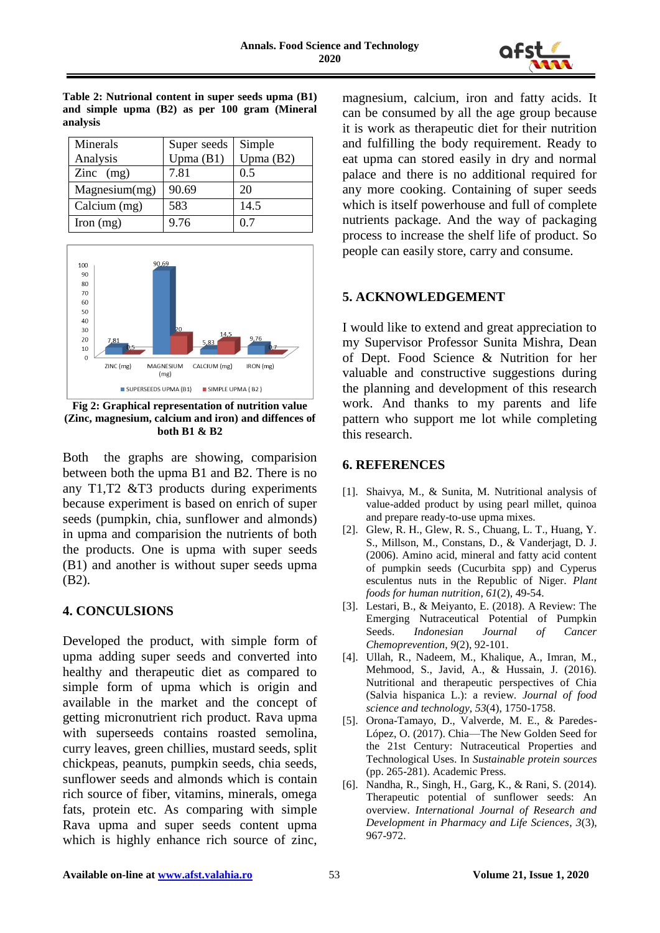

| Minerals      | Super seeds | Simple      |
|---------------|-------------|-------------|
| Analysis      | Upma $(B1)$ | Upma $(B2)$ |
| Zinc $(mg)$   | 7.81        | 0.5         |
| Magnesium(mg) | 90.69       | 20          |
| Calcium (mg)  | 583         | 14.5        |
| Iron $(mg)$   | 9.76        | 0.7         |

**Table 2: Nutrional content in super seeds upma (B1) and simple upma (B2) as per 100 gram (Mineral** 

**analysis**



**Fig 2: Graphical representation of nutrition value (Zinc, magnesium, calcium and iron) and diffences of both B1 & B2**

Both the graphs are showing, comparision between both the upma B1 and B2. There is no any T1,T2 &T3 products during experiments because experiment is based on enrich of super seeds (pumpkin, chia, sunflower and almonds) in upma and comparision the nutrients of both the products. One is upma with super seeds (B1) and another is without super seeds upma (B2).

## **4. CONCULSIONS**

Developed the product, with simple form of upma adding super seeds and converted into healthy and therapeutic diet as compared to simple form of upma which is origin and available in the market and the concept of getting micronutrient rich product. Rava upma with superseeds contains roasted semolina, curry leaves, green chillies, mustard seeds, split chickpeas, peanuts, pumpkin seeds, chia seeds, sunflower seeds and almonds which is contain rich source of fiber, vitamins, minerals, omega fats, protein etc. As comparing with simple Rava upma and super seeds content upma which is highly enhance rich source of zinc,

magnesium, calcium, iron and fatty acids. It can be consumed by all the age group because it is work as therapeutic diet for their nutrition and fulfilling the body requirement. Ready to eat upma can stored easily in dry and normal palace and there is no additional required for any more cooking. Containing of super seeds which is itself powerhouse and full of complete nutrients package. And the way of packaging process to increase the shelf life of product. So people can easily store, carry and consume.

## **5. ACKNOWLEDGEMENT**

I would like to extend and great appreciation to my Supervisor Professor Sunita Mishra, Dean of Dept. Food Science & Nutrition for her valuable and constructive suggestions during the planning and development of this research work. And thanks to my parents and life pattern who support me lot while completing this research.

## **6. REFERENCES**

- [1]. Shaivya, M., & Sunita, M. Nutritional analysis of value-added product by using pearl millet, quinoa and prepare ready-to-use upma mixes.
- [2]. Glew, R. H., Glew, R. S., Chuang, L. T., Huang, Y. S., Millson, M., Constans, D., & Vanderjagt, D. J. (2006). Amino acid, mineral and fatty acid content of pumpkin seeds (Cucurbita spp) and Cyperus esculentus nuts in the Republic of Niger. *Plant foods for human nutrition*, *61*(2), 49-54.
- [3]. Lestari, B., & Meiyanto, E. (2018). A Review: The Emerging Nutraceutical Potential of Pumpkin Seeds. *Indonesian Journal of Cancer Chemoprevention*, *9*(2), 92-101.
- [4]. Ullah, R., Nadeem, M., Khalique, A., Imran, M., Mehmood, S., Javid, A., & Hussain, J. (2016). Nutritional and therapeutic perspectives of Chia (Salvia hispanica L.): a review. *Journal of food science and technology*, *53*(4), 1750-1758.
- [5]. Orona-Tamayo, D., Valverde, M. E., & Paredes-López, O. (2017). Chia—The New Golden Seed for the 21st Century: Nutraceutical Properties and Technological Uses. In *Sustainable protein sources* (pp. 265-281). Academic Press.
- [6]. Nandha, R., Singh, H., Garg, K., & Rani, S. (2014). Therapeutic potential of sunflower seeds: An overview. *International Journal of Research and Development in Pharmacy and Life Sciences*, *3*(3), 967-972.